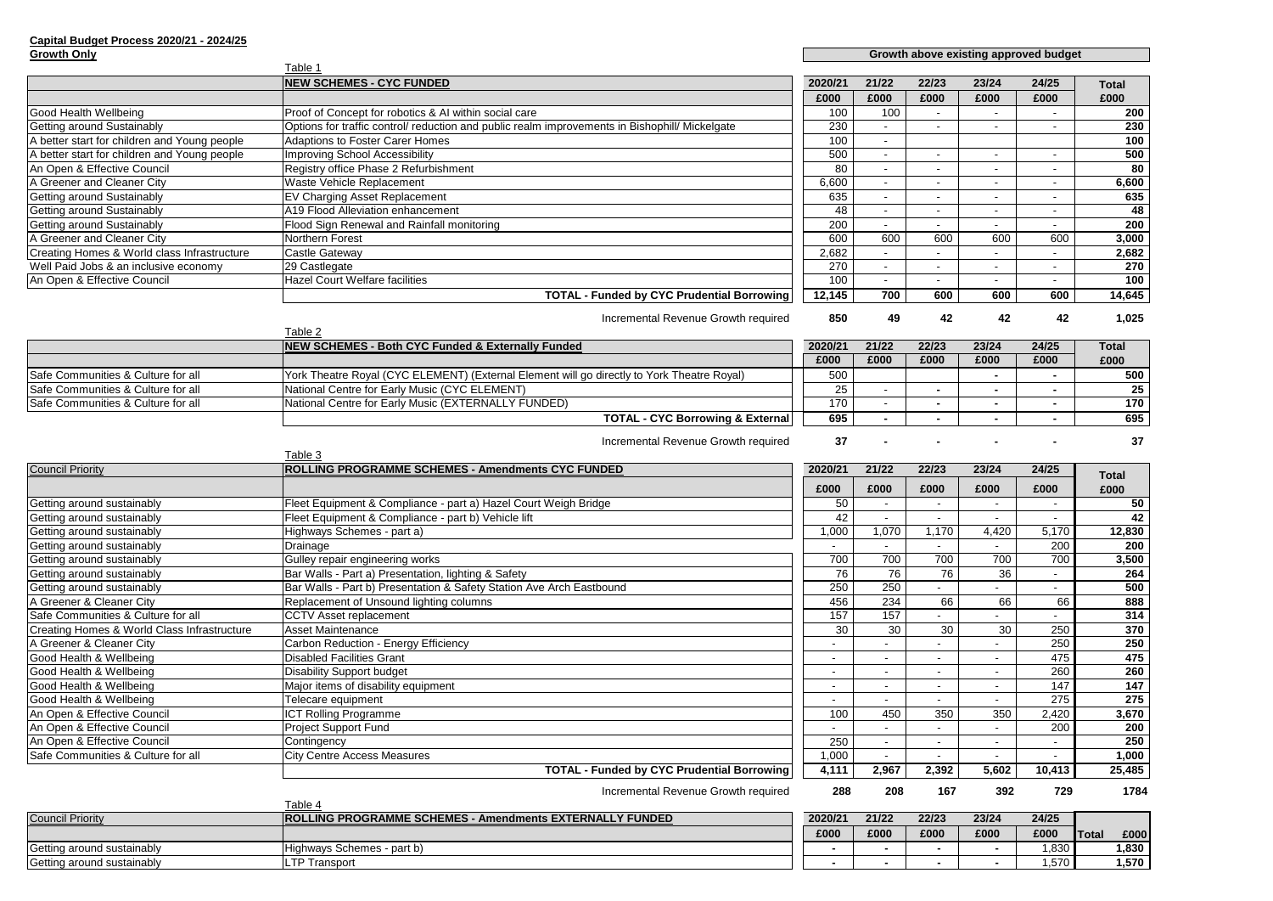## **Capital Budget Process 2020/21 - 2024/25 Growth Only**

## **Growth above exist**

|                                              | Table 1                                                                                        |         |        |       |       |       |              |
|----------------------------------------------|------------------------------------------------------------------------------------------------|---------|--------|-------|-------|-------|--------------|
|                                              | <b>NEW SCHEMES - CYC FUNDED</b>                                                                | 2020/21 | 21/22  | 22/23 | 23/24 | 24/25 | <b>Total</b> |
|                                              |                                                                                                | £000    | £000   | £000  | £000  | £000  | £000         |
| Good Health Wellbeing                        | Proof of Concept for robotics & AI within social care                                          | 100     | 100    |       |       |       | 200          |
| Getting around Sustainably                   | Options for traffic control/ reduction and public realm improvements in Bishophill/ Mickelgate | 230     |        |       |       |       | 230          |
| A better start for children and Young people | <b>Adaptions to Foster Carer Homes</b>                                                         | 100     | $\sim$ |       |       |       | 100          |
| A better start for children and Young people | Improving School Accessibility                                                                 | 500     |        |       |       |       | 500          |
| An Open & Effective Council                  | Registry office Phase 2 Refurbishment                                                          | 80      |        |       |       |       | 80           |
| A Greener and Cleaner City                   | Waste Vehicle Replacement                                                                      | 6,600   |        |       |       |       | 6,600        |
| Getting around Sustainably                   | <b>EV Charging Asset Replacement</b>                                                           | 635     |        |       |       |       | 635          |
| Getting around Sustainably                   | A19 Flood Alleviation enhancement                                                              | 48      |        |       |       |       | 48           |
| Getting around Sustainably                   | Flood Sign Renewal and Rainfall monitoring                                                     | 200     |        |       |       |       | 200          |
| A Greener and Cleaner City                   | Northern Forest                                                                                | 600     | 600    | 600   | 600   | 600   | 3,000        |
| Creating Homes & World class Infrastructure  | Castle Gateway                                                                                 | 2,682   |        |       |       |       | 2,682        |
| Well Paid Jobs & an inclusive economy        | 29 Castlegate                                                                                  | 270     |        |       |       |       | 270          |
| An Open & Effective Council                  | <b>Hazel Court Welfare facilities</b>                                                          | 100     |        |       |       |       | 100          |
|                                              | <b>TOTAL - Funded by CYC Prudential Borrowing</b>                                              | 12,145  | 700    | 600   | 600   | 600   | 14,645       |

Incremental Revenue Growth required **850** 49 42 42 42 42 1,025

|                                    | Table 2                                                                                    |         |       |       |       |       |              |
|------------------------------------|--------------------------------------------------------------------------------------------|---------|-------|-------|-------|-------|--------------|
|                                    | <b>NEW SCHEMES - Both CYC Funded &amp; Externally Funded</b>                               | 2020/21 | 21/22 | 22/23 | 23/24 | 24/25 | <b>Total</b> |
|                                    |                                                                                            | £000    | £000  | £000  | £000  | £000  | £000         |
| Safe Communities & Culture for all | York Theatre Royal (CYC ELEMENT) (External Element will go directly to York Theatre Royal) | 500     |       |       |       |       | 500          |
| Safe Communities & Culture for all | National Centre for Early Music (CYC ELEMENT)                                              | 25      |       |       |       |       | 25           |
| Safe Communities & Culture for all | National Centre for Early Music (EXTERNALLY FUNDED)                                        | 170     |       |       |       |       | 170          |
|                                    | <b>TOTAL - CYC Borrowing &amp; External</b>                                                | 695     |       |       |       |       | 695          |

Incremental Revenue Growth required **37** - - - - - - - - - - 37

|                                             | Table 3                                                              |         |       |                 |                 |                |                  |
|---------------------------------------------|----------------------------------------------------------------------|---------|-------|-----------------|-----------------|----------------|------------------|
| <b>Council Priority</b>                     | ROLLING PROGRAMME SCHEMES - Amendments CYC FUNDED                    | 2020/21 | 21/22 | 22/23           | 23/24           | 24/25          | <b>Total</b>     |
|                                             |                                                                      | £000    | £000  | £000            | £000            | £000           | £000             |
| Getting around sustainably                  | Fleet Equipment & Compliance - part a) Hazel Court Weigh Bridge      | 50      |       |                 |                 | ۰              | 50               |
| Getting around sustainably                  | Fleet Equipment & Compliance - part b) Vehicle lift                  | 42      |       |                 |                 | $\blacksquare$ | 42               |
| Getting around sustainably                  | Highways Schemes - part a)                                           | 1,000   | 1,070 | 1,170           | 4,420           | 5,170          | 12,830           |
| Getting around sustainably                  | Drainage                                                             |         |       |                 |                 | 200            | 200              |
| Getting around sustainably                  | Gulley repair engineering works                                      | 700     | 700   | 700             | 700             | 700            | 3,500            |
| Getting around sustainably                  | Bar Walls - Part a) Presentation, lighting & Safety                  | 76      | 76    | $\overline{76}$ | $\overline{36}$ |                | 264              |
| Getting around sustainably                  | Bar Walls - Part b) Presentation & Safety Station Ave Arch Eastbound | 250     | 250   |                 |                 |                | 500              |
| A Greener & Cleaner City                    | Replacement of Unsound lighting columns                              | 456     | 234   | 66              | 66              | 66             | 888              |
| Safe Communities & Culture for all          | <b>CCTV Asset replacement</b>                                        | 157     | 157   |                 |                 |                | 314              |
| Creating Homes & World Class Infrastructure | <b>Asset Maintenance</b>                                             | 30      | 30    | 30              | 30              | 250            | 370              |
| A Greener & Cleaner City                    | Carbon Reduction - Energy Efficiency                                 |         |       |                 |                 | 250            | 250              |
| Good Health & Wellbeing                     | <b>Disabled Facilities Grant</b>                                     |         |       |                 |                 | 475            | 475              |
| Good Health & Wellbeing                     | <b>Disability Support budget</b>                                     |         |       |                 |                 | 260            | 260              |
| Good Health & Wellbeing                     | Major items of disability equipment                                  |         |       |                 |                 | 147            | $\overline{147}$ |
| Good Health & Wellbeing                     | Telecare equipment                                                   |         |       |                 |                 | 275            | 275              |
| An Open & Effective Council                 | <b>ICT Rolling Programme</b>                                         | 100     | 450   | 350             | 350             | 2,420          | 3,670            |
| An Open & Effective Council                 | <b>Project Support Fund</b>                                          |         |       |                 |                 | 200            | 200              |
| An Open & Effective Council                 | Contingency                                                          | 250     |       |                 |                 |                | 250              |
| Safe Communities & Culture for all          | <b>City Centre Access Measures</b>                                   | 1,000   |       |                 |                 |                | 1,000            |
|                                             | <b>TOTAL - Funded by CYC Prudential Borrowing</b>                    | 4,111   | 2,967 | 2,392           | 5,602           | 10,413         | 25,485           |
|                                             | Incremental Revenue Growth required                                  | 288     | 208   | 167             | 392             | 729            | 1784             |

|                            |                                                                 | ---     | $- - -$ | ---   | ---   | ---   |        | .      |
|----------------------------|-----------------------------------------------------------------|---------|---------|-------|-------|-------|--------|--------|
|                            | Table $\cdot$                                                   |         |         |       |       |       |        |        |
| <b>Council Priority</b>    | <b>ROLLING PROGRAMME SCHEMES - Amendments EXTERNALLY FUNDED</b> | 2020/21 | 21/22   | 22/23 | 23/24 | 24/25 |        |        |
|                            |                                                                 | £000    | £000    | £000  | £000  | £000  | lTotal | £00    |
| Getting around sustainably | Highways Schemes - part b)                                      |         |         |       |       | ,830  |        | 1,830  |
| Getting around sustainably | <b>LTP Transport</b>                                            |         |         |       |       | ,570  |        | 570, ا |

| sting approved budget |  |
|-----------------------|--|
|                       |  |

| 23/24 | 24/25 | <b>Total</b> |
|-------|-------|--------------|
| £000  | £000  | £000         |
|       |       | 500          |
|       |       | 25           |
|       |       | 170          |
|       |       | 695          |
|       |       |              |

| 23/24 | 24/25 | <b>Total</b> |
|-------|-------|--------------|
| £000  | £000  | £000         |
|       |       | 200          |
|       |       | 230          |
|       |       | 100          |
|       |       | 500          |
|       |       | 80           |
|       |       | 6,600        |
|       |       | 635          |
|       |       | 48           |
|       |       | 200          |
| 600   | 600   | 3,000        |
|       |       | 2,682        |
|       |       | 270          |
|       |       | 100          |
| 600   | 600   | 14,645       |

| 23/24 | 24/25 |        |       |
|-------|-------|--------|-------|
| £000  | £000  | lTotal | £000  |
|       | 1,830 |        | 1,830 |
|       | 1,570 |        | 1.570 |
|       |       |        |       |